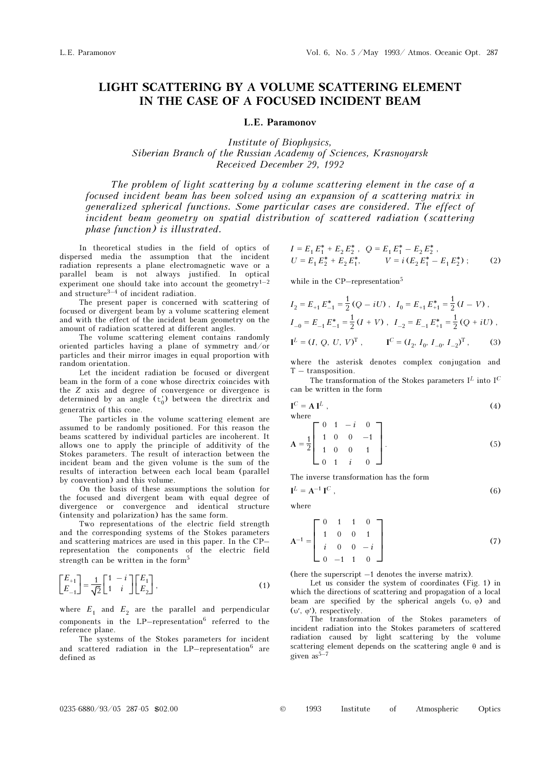## LIGHT SCATTERING BY A VOLUME SCATTERING ELEMENT IN THE CASE OF A FOCUSED INCIDENT BEAM

## L.E. Paramonov

Institute of Biophysics, Siberian Branch of the Russian Academy of Sciences, Krasnoyarsk Received December 29, 1992

The problem of light scattering by a volume scattering element in the case of a focused incident beam has been solved using an expansion of a scattering matrix in generalized spherical functions. Some particular cases are considered. The effect of incident beam geometry on spatial distribution of scattered radiation (scattering phase function) is illustrated.

In theoretical studies in the field of optics of dispersed media the assumption that the incident radiation represents a plane electromagnetic wave or a parallel beam is not always justified. In optical experiment one should take into account the geometry<sup>1-2</sup> and structure $3-4$  of incident radiation.

The present paper is concerned with scattering of focused or divergent beam by a volume scattering element and with the effect of the incident beam geometry on the amount of radiation scattered at different angles.

The volume scattering element contains randomly oriented particles having a plane of symmetry and/or particles and their mirror images in equal proportion with random orientation.

Let the incident radiation be focused or divergent beam in the form of a cone whose directrix coincides with the Z axis and degree of convergence or divergence is determined by an angle  $(t_0)$  between the directrix and generatrix of this cone.

The particles in the volume scattering element are assumed to be randomly positioned. For this reason the beams scattered by individual particles are incoherent. It allows one to apply the principle of additivity of the Stokes parameters. The result of interaction between the incident beam and the given volume is the sum of the results of interaction between each local beam (parallel by convention) and this volume.

On the basis of these assumptions the solution for the focused and divergent beam with equal degree of divergence or convergence and identical structure (intensity and polarization) has the same form.

Two representations of the electric field strength and the corresponding systems of the Stokes parameters and scattering matrices are used in this paper. In the CP– representation the components of the electric field strength can be written in the form<sup>5</sup>

$$
\begin{bmatrix} E_{+1} \\ E_{-1} \end{bmatrix} = \frac{1}{\sqrt{2}} \begin{bmatrix} 1 & -i \\ 1 & i \end{bmatrix} \begin{bmatrix} E_1 \\ E_2 \end{bmatrix},
$$
\n(1)

where  $E_1$  and  $E_2$  are the parallel and perpendicular components in the  $LP$ -representation<sup>6</sup> referred to the reference plane.

The systems of the Stokes parameters for incident and scattered radiation in the LP–representation $6$  are defined as

$$
I = E_1 E_1^* + E_2 E_2^*, \quad Q = E_1 E_1^* - E_2 E_2^*,
$$
  
\n
$$
U = E_1 E_2^* + E_2 E_1^*, \qquad V = i (E_2 E_1^* - E_1 E_2^*);
$$
 (2)

while in the CP–representation<sup>5</sup>

$$
I_2 = E_{+1} E_{-1}^* = \frac{1}{2} (Q - iU), \quad I_0 = E_{+1} E_{+1}^* = \frac{1}{2} (I - V),
$$
  
\n
$$
I_{-0} = E_{-1} E_{-1}^* = \frac{1}{2} (I + V), \quad I_{-2} = E_{-1} E_{+1}^* = \frac{1}{2} (Q + iU),
$$
  
\n
$$
I^L = (I, Q, U, V)^T, \qquad I^C = (I_2, I_0, I_{-0}, I_{-2})^T,
$$
 (3)

where the asterisk denotes complex conjugation and T – transposition.

The transformation of the Stokes parameters  $I^L$  into  $I^C$ can be written in the form

$$
\mathbf{I}^C = \mathbf{A} \mathbf{I}^L \tag{4}
$$
 where

$$
A = \frac{1}{2} \begin{bmatrix} 0 & 1 & -i & 0 \\ 1 & 0 & 0 & -1 \\ 1 & 0 & 0 & 1 \\ 0 & 1 & i & 0 \end{bmatrix}.
$$
 (5)

The inverse transformation has the form

$$
\mathbf{I}^L = \mathbf{A}^{-1} \mathbf{I}^C \,, \tag{6}
$$

where

$$
\mathbf{A}^{-1} = \begin{bmatrix} 0 & 1 & 1 & 0 \\ 1 & 0 & 0 & 1 \\ i & 0 & 0 & -i \\ 0 & -1 & 1 & 0 \end{bmatrix}
$$
 (7)

(here the superscript –1 denotes the inverse matrix).

Let us consider the system of coordinates (Fig. 1) in which the directions of scattering and propagation of a local beam are specified by the spherical angels  $(v, \varphi)$  and (υ′, ϕ′), respectively.

The transformation of the Stokes parameters of incident radiation into the Stokes parameters of scattered radiation caused by light scattering by the volume scattering element depends on the scattering angle θ and is given  $as^{5-7}$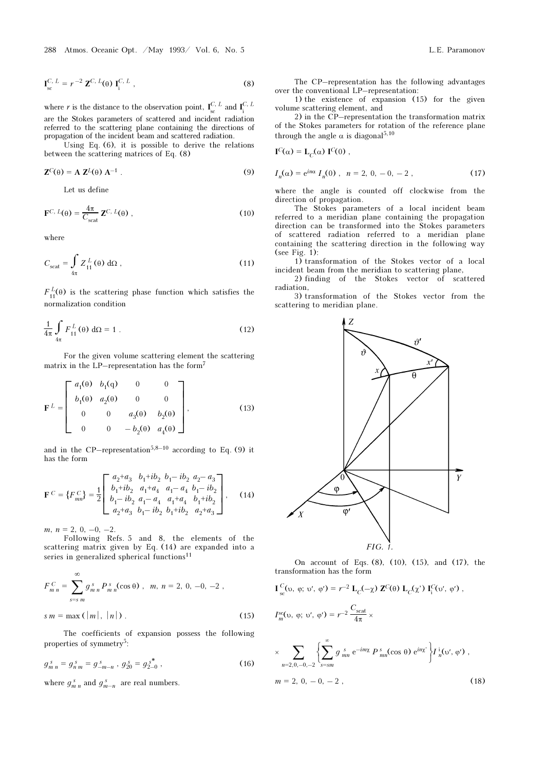where r is the distance to the observation point,  $\mathbf{I}_{\text{sc}}^{C, L}$  and  $\mathbf{I}_{\text{i}}^{C, L}$ are the Stokes parameters of scattered and incident radiation referred to the scattering plane containing the directions of propagation of the incident beam and scattered radiation.

Using Eq. (6), it is possible to derive the relations between the scattering matrices of Eq. (8)

$$
\mathbf{Z}^C(\theta) = \mathbf{A} \mathbf{Z}^L(\theta) \mathbf{A}^{-1} \tag{9}
$$

Let us define

$$
\mathbf{F}^{C,\ L}(\theta) = \frac{4\pi}{C_{\rm scat}} \mathbf{Z}^{C,\ L}(\theta) \,, \tag{10}
$$

where

$$
C_{\text{scat}} = \int_{4\pi} Z_{11}^L(\theta) \, d\Omega \,, \tag{11}
$$

 $F_{11}^L(\theta)$  is the scattering phase function which satisfies the normalization condition

$$
\frac{1}{4\pi} \int_{4\pi} F_{11}^L(\theta) d\Omega = 1.
$$
 (12)

For the given volume scattering element the scattering matrix in the LP–representation has the form<sup>7</sup>

$$
\mathbf{F}^{L} = \begin{bmatrix} a_{1}(\theta) & b_{1}(q) & 0 & 0 \\ b_{1}(\theta) & a_{2}(\theta) & 0 & 0 \\ 0 & 0 & a_{3}(\theta) & b_{2}(\theta) \\ 0 & 0 & -b_{2}(\theta) & a_{4}(\theta) \end{bmatrix},
$$
(13)

and in the CP–representation<sup>5,8–10</sup> according to Eq. (9) it has the form

$$
\mathbf{F}^C = \{F_{mn}^C\} = \frac{1}{2} \begin{bmatrix} a_2 + a_3 & b_1 + ib_2 & b_1 - ib_2 & a_2 - a_3 \\ b_1 + ib_2 & a_1 + a_4 & a_1 - a_4 & b_1 - ib_2 \\ b_1 - ib_2 & a_1 - a_4 & a_1 + a_4 & b_1 + ib_2 \\ a_2 + a_3 & b_1 - ib_2 & b_1 + ib_2 & a_2 + a_3 \end{bmatrix}, \quad (14)
$$

 $m, n = 2, 0, -0, -2.$ 

Following Refs. 5 and 8, the elements of the scattering matrix given by Eq. (14) are expanded into a series in generalized spherical functions<sup>11</sup>

$$
F_{m n}^{C} = \sum_{s=s m}^{\infty} g_{m n}^{s} P_{m n}^{s}(\cos \theta) , m, n = 2, 0, -0, -2 ,
$$
  

$$
s m = \max(|m|, |n|) .
$$
 (15)

The coefficients of expansion possess the following properties of symmetry5:

$$
g_{m n}^s = g_{n m}^s = g_{-m-n}^s, \ g_{20}^s = g_{2-0}^{*^*}, \tag{16}
$$

where  $g_{m n}^s$  and  $g_{m-n}^s$  are real numbers.

The CP–representation has the following advantages over the conventional LP–representation:

1) the existence of expansion (15) for the given volume scattering element, and

2) in the CP–representation the transformation matrix of the Stokes parameters for rotation of the reference plane through the angle  $\alpha$  is diagonal<sup>5,10</sup>

$$
\mathbf{I}^C(\alpha) = \mathbf{L}_C(\alpha) \; \mathbf{I}^C(0) \; ,
$$

$$
I_n(\alpha) = e^{in\alpha} I_n(0) , n = 2, 0, -0, -2 , \qquad (17)
$$

where the angle is counted off clockwise from the direction of propagation.

The Stokes parameters of a local incident beam referred to a meridian plane containing the propagation direction can be transformed into the Stokes parameters of scattered radiation referred to a meridian plane containing the scattering direction in the following way (see Fig. 1):

1) transformation of the Stokes vector of a local incident beam from the meridian to scattering plane,

2) finding of the Stokes vector of scattered radiation,

3) transformation of the Stokes vector from the scattering to meridian plane.



On account of Eqs. (8), (10), (15), and (17), the transformation has the form

$$
\mathbf{I}_{\rm sc}^{\rm C}(\mathfrak{v},\varphi;\mathfrak{v}',\varphi') = r^{-2} \mathbf{L}_{\rm C}(-\chi) \mathbf{Z}^{\rm C}(\theta) \mathbf{L}_{\rm C}(\chi') \mathbf{I}_{\rm i}^{\rm C}(\mathfrak{v}',\varphi') ,
$$

$$
I_m^{\rm sc}(\nu, \varphi; \nu', \varphi') = r^{-2} \frac{C_{\rm scat}}{4\pi} \times
$$

$$
\times \sum_{n=2,0,-0,-2} \left\{ \sum_{s=sm}^{\infty} g_{mn} \, e^{-im\chi} \, P_{mn}^s(\cos \theta) \, e^{in\chi'} \right\} I_n^i(\omega', \varphi') \;,
$$
  
\n
$$
m = 2, 0, -0, -2 \;,
$$
\n(18)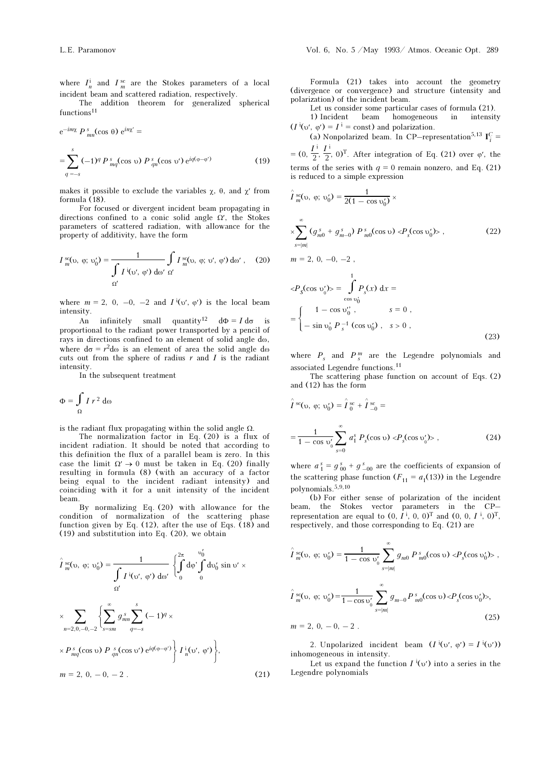where  $I_n^i$  and  $I_m^{sc}$  are the Stokes parameters of a local incident beam and scattered radiation, respectively.

The addition theorem for generalized spherical  $\rm\,functions^{11}$ 

$$
e^{-im\chi} P_{mn}^s(\cos \theta) e^{in\chi'} =
$$
  
= 
$$
\sum_{q=-s}^s (-1)^q P_{mq}^s(\cos \upsilon) P_{qn}^s(\cos \upsilon') e^{iq(\phi-\phi')}
$$
 (19)

makes it possible to exclude the variables  $\chi$ ,  $\theta$ , and  $\chi'$  from formula (18).

For focused or divergent incident beam propagating in directions confined to a conic solid angle  $\Omega'$ , the Stokes parameters of scattered radiation, with allowance for the property of additivity, have the form

$$
I_m^{\text{sc}}(\nu, \varphi; \nu_0') = \frac{1}{\int_{\Omega'} I^{\text{!`}}(\nu', \varphi') \, d\omega' \, \Omega'} \int_{\Omega'} I_m^{\text{sc}}(\nu, \varphi; \nu', \varphi') \, d\omega', \quad (20)
$$

where  $m = 2$ , 0, -0, -2 and  $I^{i}(v', \varphi')$  is the local beam intensity.

An infinitely small quantity<sup>12</sup>  $d\Phi = I d\sigma$ proportional to the radiant power transported by a pencil of rays in directions confined to an element of solid angle dω, where  $d\sigma = r^2 d\omega$  is an element of area the solid angle d $\omega$ cuts out from the sphere of radius  $r$  and  $I$  is the radiant intensity.

In the subsequent treatment

$$
\Phi = \int_{\Omega} I r^2 d\omega
$$

is the radiant flux propagating within the solid angle  $\Omega$ .

The normalization factor in Eq.  $(20)$  is a flux of incident radiation. It should be noted that according to this definition the flux of a parallel beam is zero. In this case the limit  $\Omega' \to 0$  must be taken in Eq. (20) finally resulting in formula (8) (with an accuracy of a factor being equal to the incident radiant intensity) and coinciding with it for a unit intensity of the incident beam.

By normalizing Eq. (20) with allowance for the condition of normalization of the scattering phase function given by Eq. (12), after the use of Eqs.  $(18)$  and (19) and substitution into Eq. (20), we obtain

$$
\hat{I}_{m}^{sc}(\upsilon, \varphi; \upsilon_{0}') = \frac{1}{\int_{\Omega} I^{i}(\upsilon', \varphi') d\omega'} \left\{ \int_{0}^{2\pi} d\varphi' \int_{0}^{\upsilon_{0}'} d\upsilon_{0}' \sin \upsilon' \times \right. \\
\times \sum_{n=2,0,-0,-2} \left\{ \sum_{s=sm}^{\infty} g_{mn}^{s} \sum_{q=-s}^{s} (-1)^{q} \times \right. \\
\times P_{mq}^{s}(\cos \upsilon) P_{qn}^{s}(\cos \upsilon') e^{iq(\varphi - \varphi')} \left\{ I_{n}^{i}(\upsilon', \varphi') \right\}, \\
m = 2, 0, -0, -2 .
$$
\n(21)

Formula (21) takes into account the geometry (divergence or convergence) and structure (intensity and polarization) of the incident beam.

Let us consider some particular cases of formula (21). 1) Incident beam homogeneous in intensity

 $(I^i(\nu', \varphi') = I^i = \text{const})$  and polarization.

(a) Nonpolarized beam. In CP–representation<sup>5,13</sup>  $I_i^C$  =  $= (0, \frac{I^{\perp}}{2}, \frac{I^{\perp}}{2}, 0)^{\mathrm{T}}$ . After integration of Eq. (21) over  $\varphi'$ , the terms of the series with  $q = 0$  remain nonzero, and Eq. (21) is reduced to a simple expression

$$
\hat{I}_{m}^{sc}(v, \varphi; v'_{0}) = \frac{1}{2(1 - \cos v'_{0})} \times
$$
\n
$$
\times \sum_{s=|m|}^{\infty} (g_{m0}^{s} + g_{m-0}^{s}) P_{m0}^{s}(\cos v) \langle P_{s}(\cos v'_{0}) \rangle, \qquad (22)
$$
\n
$$
m = 2, 0, -0, -2,
$$
\n
$$
\langle P_{s}(\cos v'_{0}) \rangle = \int_{\cos v'_{0}}^{1} P_{s}(x) dx = \cos v'_{0}
$$
\n
$$
= \begin{cases}\n1 - \cos v''_{0}, & s = 0, \\
-\sin v'_{0} P_{s}^{-1}(\cos v'_{0}), & s > 0,\n\end{cases}
$$

(23)

where  $P_s$  and  $P_s^m$  are the Legendre polynomials and associated Legendre functions.<sup>11</sup>

The scattering phase function on account of Eqs. (2) and (12) has the form

$$
\hat{I}^{sc}(v, \varphi; v_0') = \hat{I}^{sc}_{0} + \hat{I}^{sc}_{-0} =
$$
\n
$$
= \frac{1}{1 - \cos v_0'} \sum_{s=0}^{\infty} a_1^s P_s(\cos v) \langle P_s(\cos v_0') \rangle , \qquad (24)
$$

where  $a_1^s = g_{00}^s + g_{-00}^s$  are the coefficients of expansion of the scattering phase function  $(F_{11} = a_1(13))$  in the Legendre polynomials.5,9,10

(b) For either sense of polarization of the incident beam, the Stokes vector parameters in the CP– representation are equal to  $(0, I^i, 0, 0)^T$  and  $(0, 0, I^i, 0)^T$ , respectively, and those corresponding to Eq. (21) are

$$
\hat{\Gamma}_{m}^{sc}(\nu, \varphi; \nu_{0}') = \frac{1}{1 - \cos \nu_{0}'} \sum_{s=|m|}^{\infty} g_{m0} P_{m0}^{s}(\cos \nu) \langle P_{s}(\cos \nu_{0}') \rangle,
$$

$$
\hat{I}_{m}^{sc}(\upsilon, \varphi; \upsilon_{0}') = \frac{1}{1 - \cos \upsilon_{0}'} \sum_{s=|m|}^{\infty} g_{m-0} P_{m0}^{s}(\cos \upsilon) < P_{s}(\cos \upsilon_{0}')>,
$$
  
\n
$$
m = 2, 0, -0, -2.
$$
\n(25)

2. Unpolarized incident beam  $(I^{i}(v', \varphi') = I^{i}(v'))$ inhomogeneous in intensity.

Let us expand the function  $I^i(v')$  into a series in the Legendre polynomials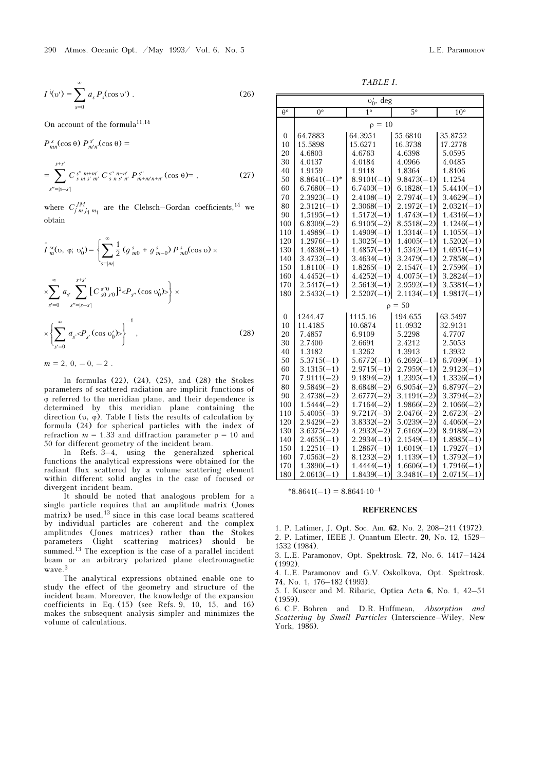$$
I^{i}(v') = \sum_{s=0}^{\infty} a_{s} P_{s}(\cos v') .
$$
 (26)

On account of the formula<sup>11,14</sup>

 $P_{mn}^s(\cos\theta) P_{m'n'}^{s'}(\cos\theta) =$ <sup>=</sup> ∑  $s''=|s-s'|$ s+s′  $C_{s m s' m'}^{s'' m+m'} C_{s n s' n'}^{s'' n+n'} P_{m+m'n+n'}^{s''} (\cos \theta) = ,$  (27)

where  $C_{j m j_1 m_1}^{J M}$  are the Clebsch–Gordan coefficients,<sup>14</sup> we obtain

$$
\hat{I}_{m}^{sc}(v, \varphi; \upsilon_{0}') = \left\{ \sum_{s=|m|}^{\infty} \frac{1}{2} \left( g_{m0}^{s} + g_{m-0}^{s} \right) P_{m0}^{s}(\cos v) \times \sum_{s'=0}^{\infty} a_{s'} \sum_{s''=|s-s'|}^{s+s'} \left[ C_{s0}^{s''0} \right]^{2} < P_{s''}(\cos v_{0}') > \right\} \times \left\{ \sum_{s'=0}^{\infty} a_{s'} < P_{s'}(\cos v_{0}') > \right\}^{-1},
$$
\n(28)

 $m = 2, 0, -0, -2$ .

In formulas (22), (24), (25), and (28) the Stokes parameters of scattered radiation are implicit functions of ϕ referred to the meridian plane, and their dependence is determined by this meridian plane containing the direction (υ, φ). Table I lists the results of calculation by formula (24) for spherical particles with the index of refraction  $m = 1.33$  and diffraction parameter  $\rho = 10$  and 50 for different geometry of the incident beam.

In Refs. 3–4, using the generalized spherical functions the analytical expressions were obtained for the radiant flux scattered by a volume scattering element within different solid angles in the case of focused or divergent incident beam.

It should be noted that analogous problem for a single particle requires that an amplitude matrix (Jones matrix) be used, $13$  since in this case local beams scattered by individual particles are coherent and the complex amplitudes (Jones matrices) rather than the Stokes parameters (light scattering matrices) should be summed.<sup>13</sup> The exception is the case of a parallel incident beam or an arbitrary polarized plane electromagnetic wave.<sup>3</sup>

The analytical expressions obtained enable one to study the effect of the geometry and structure of the incident beam. Moreover, the knowledge of the expansion coefficients in Eq.  $(15)$  (see Refs. 9, 10, 15, and 16) makes the subsequent analysis simpler and minimizes the volume of calculations.

TABLE I.

| $v'_0$ , deg     |                |                   |              |              |  |
|------------------|----------------|-------------------|--------------|--------------|--|
| $\theta^{\circ}$ | 0°             | $1^{\circ}$       | $5^{\circ}$  | $10^{\circ}$ |  |
|                  | $\rho = 10$    |                   |              |              |  |
| $\overline{0}$   | 64.7883        | 64.3951           | 55.6810      | 35.8752      |  |
| 10               | 15.5898        | 15.6271           | 16.3738      | 17.2778      |  |
| 20               | 4.6803         | 4.6763            | 4.6398       | 5.0595       |  |
| 30               | 4.0137         | 4.0184            | 4.0966       | 4.0485       |  |
| 40               | 1.9159         | 1.9118            | 1.8364       | 1.8106       |  |
| 50               | $8.8641(-1)^*$ | $8.9101(-1)$      | $9.8473(-1)$ | 1.1254       |  |
| 60               | $6.7680(-1)$   | $6.7403(-1)$      | $6.1828(-1)$ | $5.4410(-1)$ |  |
| 70               | $2.3923(-1)$   | $2.4108(-1)$      | $2.7974(-1)$ | $3.4629(-1)$ |  |
| 80               | $2.3121(-1)$   | $2.3068(-1)$      | $2.1972(-1)$ | $2.0321(-1)$ |  |
| 90               | $1,5195(-1)$   | $1.5172(-1)$      | $1.4743(-1)$ | $1.4316(-1)$ |  |
| 100              | $6.8309(-2)$   | $6.9105(-2)$      | $8.5518(-2)$ | $1.1246(-1)$ |  |
| 110              | $1.4989(-1)$   | $1.4909(-1)$      | $1.3314(-1)$ | $1.1055(-1)$ |  |
| 120              | $1.2976(-1)$   | $1.3025(-1)$      | $1.4005(-1)$ | $1.5202(-1)$ |  |
| 130              | $1.4838(-1)$   | $1.4857(-1)$      | $1.5342(-1)$ | $1.6951(-1)$ |  |
| 140              | $3.4732(-1)$   | $3.4634(-1)$      | $3.2479(-1)$ | $2.7858(-1)$ |  |
| 150              | $1.8110(-1)$   | $1.8265(-1)$      | $2.1547(-1)$ | $2.7596(-1)$ |  |
| 160              | $4.4452(-1)$   | $4.4252(-1)$      | $4.0075(-1)$ | $3.2824(-1)$ |  |
| 170              | $2.5417(-1)$   | $2.5613(-1)$      | $2.9592(-1)$ | $3.5381(-1)$ |  |
| 180              | $2.5432(-1)$   | $2.5207(-1)$      | $2.1134(-1)$ | $1.9817(-1)$ |  |
|                  |                | $\rho = 50$       |              |              |  |
| $\overline{0}$   | 1244.47        | 1115.16           | 194.655      | 63.5497      |  |
| 10               | 11.4185        | 10.6874           | 11.0932      | 32.9131      |  |
| 20               | 7.4857         | 6.9109            | 5.2298       | 4.7707       |  |
| 30               | 2.7400         | 2.6691            | 2.4212       | 2.5053       |  |
| 40               | 1.3182         | 1.3262            | 1.3913       | 1.3932       |  |
| 50               | $5.3715(-1)$   | $5.6772(-1)$      | $6.2692(-1)$ | $6.7099(-1)$ |  |
| 60               | $3.1315(-1)$   | $2.9715(-1)$      | $2.7959(-1)$ | $2.9123(-1)$ |  |
| 70               | $7.9111(-2)$   | $9.1894(-2)$      | $1.2395(-1)$ | $1.3326(-1)$ |  |
| 80               | $9.5849(-2)$   | $8.6848(-2)$      | $6.9054(-2)$ | $6.8797(-2)$ |  |
| 90               | $2.4738(-2)$   | $2.6777(-2)$      | $3.1191(-2)$ | $3.3794(-2)$ |  |
| 100              | $1.5444(-2)$   | $1.7164(-2)$      | $1.9866(-2)$ | $2.1066(-2)$ |  |
| 110              | $5.4005(-3)$   | $9.7217(-3)$      | $2.0476(-2)$ | $2.6723(-2)$ |  |
| 120              | $2.9429(-2)$   | $3.8332(-2)$      | $5.0239(-2)$ | $4.4060(-2)$ |  |
| 130              | $3.6375(-2)$   | $4.2932(-2)$      | $7.6169(-2)$ | $8.9188(-2)$ |  |
| 140              | $2.4655(-1)$   | $2.2934(-1)$      | $2.1549(-1)$ | $1.8985(-1)$ |  |
| 150              | $1.2251(-1)$   | $1.2867(-1)$      | $1.6019(-1)$ | $1.7927(-1)$ |  |
| 160              | $7.0563(-2)$   | $8.1232(-2)$      | $1.1139(-1)$ | $1.3792(-1)$ |  |
| 170              | $1.3890(-1)$   | $1.4444(-1)$      | $1.6606(-1)$ | $1.7916(-1)$ |  |
| 180              | $2.0613(-1)$   | $1.8439(-$<br>-1) | $3.3481(-1)$ | $2.0715(-1)$ |  |

 $*8.8641(-1) = 8.8641 \cdot 10^{-1}$ 

## **REFERENCES**

1. P. Latimer, J. Opt. Soc. Am. 62, No. 2, 208–211 (1972). 2. P. Latimer, IEEE J. Quantum Electr. 20, No. 12, 1529–

1532 (1984).

3. L.E. Paramonov, Opt. Spektrosk. 72, No. 6, 1417–1424 (1992).

4. L.E. Paramonov and G.V. Oskolkova, Opt. Spektrosk. 74, No. 1, 176–182 (1993).

5. I. Kuscer and M. Ribaric, Optica Acta 6, No. 1, 42–51  $(1959)$ 

6. C.F. Bohren and D.R. Huffmean, Absorption and Scattering by Small Particles (Interscience–Wiley, New York, 1986).